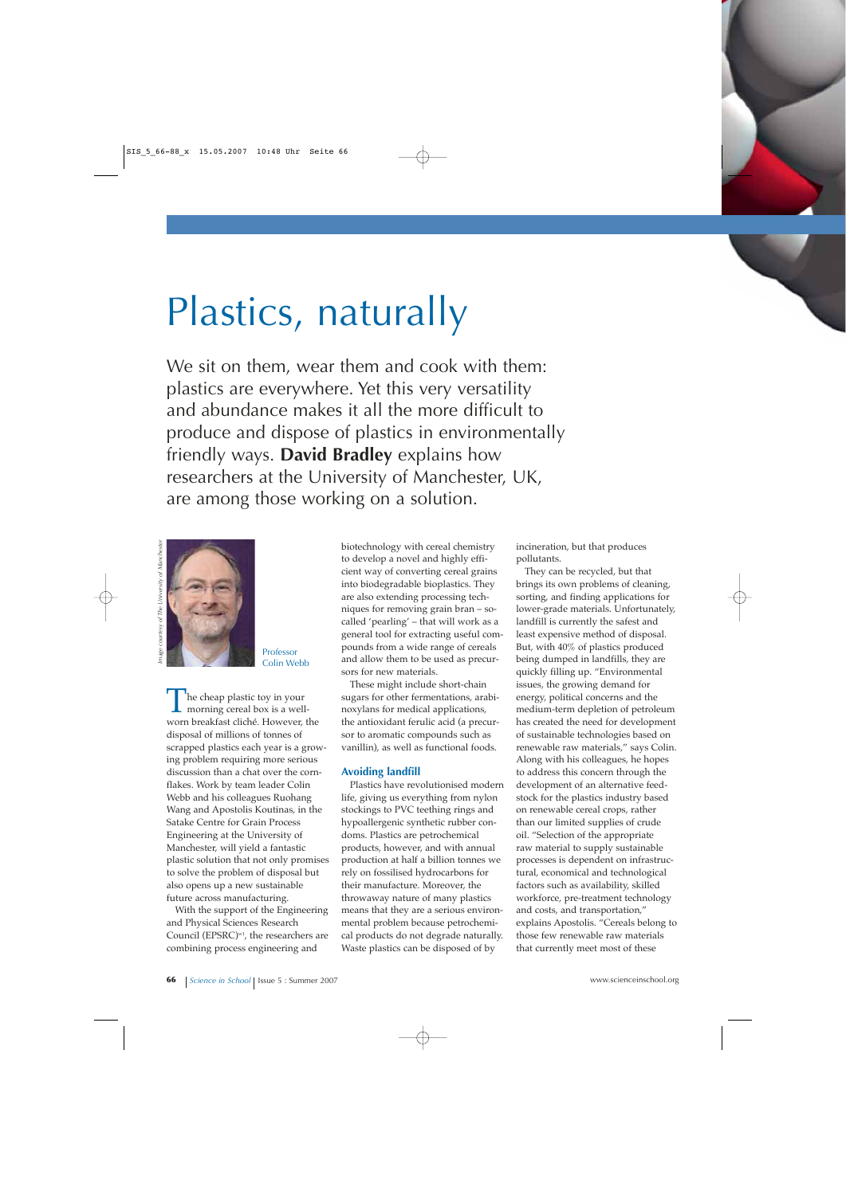## Plastics, naturally

We sit on them, wear them and cook with them: plastics are everywhere. Yet this very versatility and abundance makes it all the more difficult to produce and dispose of plastics in environmentally friendly ways. **David Bradley** explains how researchers at the University of Manchester, UK, are among those working on a solution.



Professor Colin Webb

The cheap plastic toy in your<br>morning cereal box is a well-<br>worn broakfost clické Housever f worn breakfast cliché. However, the disposal of millions of tonnes of scrapped plastics each year is a growing problem requiring more serious discussion than a chat over the cornflakes. Work by team leader Colin Webb and his colleagues Ruohang Wang and Apostolis Koutinas, in the Satake Centre for Grain Process Engineering at the University of Manchester, will yield a fantastic plastic solution that not only promises to solve the problem of disposal but also opens up a new sustainable future across manufacturing.

With the support of the Engineering and Physical Sciences Research Council (EPSRC)<sup>w1</sup>, the researchers are combining process engineering and

biotechnology with cereal chemistry to develop a novel and highly efficient way of converting cereal grains into biodegradable bioplastics. They are also extending processing techniques for removing grain bran – socalled 'pearling' – that will work as a general tool for extracting useful compounds from a wide range of cereals and allow them to be used as precursors for new materials.

These might include short-chain sugars for other fermentations, arabinoxylans for medical applications, the antioxidant ferulic acid (a precursor to aromatic compounds such as vanillin), as well as functional foods.

## **Avoiding landfill**

Plastics have revolutionised modern life, giving us everything from nylon stockings to PVC teething rings and hypoallergenic synthetic rubber condoms. Plastics are petrochemical products, however, and with annual production at half a billion tonnes we rely on fossilised hydrocarbons for their manufacture. Moreover, the throwaway nature of many plastics means that they are a serious environmental problem because petrochemical products do not degrade naturally. Waste plastics can be disposed of by

incineration, but that produces pollutants.

They can be recycled, but that brings its own problems of cleaning, sorting, and finding applications for lower-grade materials. Unfortunately, landfill is currently the safest and least expensive method of disposal. But, with 40% of plastics produced being dumped in landfills, they are quickly filling up. "Environmental issues, the growing demand for energy, political concerns and the medium-term depletion of petroleum has created the need for development of sustainable technologies based on renewable raw materials," says Colin. Along with his colleagues, he hopes to address this concern through the development of an alternative feedstock for the plastics industry based on renewable cereal crops, rather than our limited supplies of crude oil. "Selection of the appropriate raw material to supply sustainable processes is dependent on infrastructural, economical and technological factors such as availability, skilled workforce, pre-treatment technology and costs, and transportation," explains Apostolis. "Cereals belong to those few renewable raw materials that currently meet most of these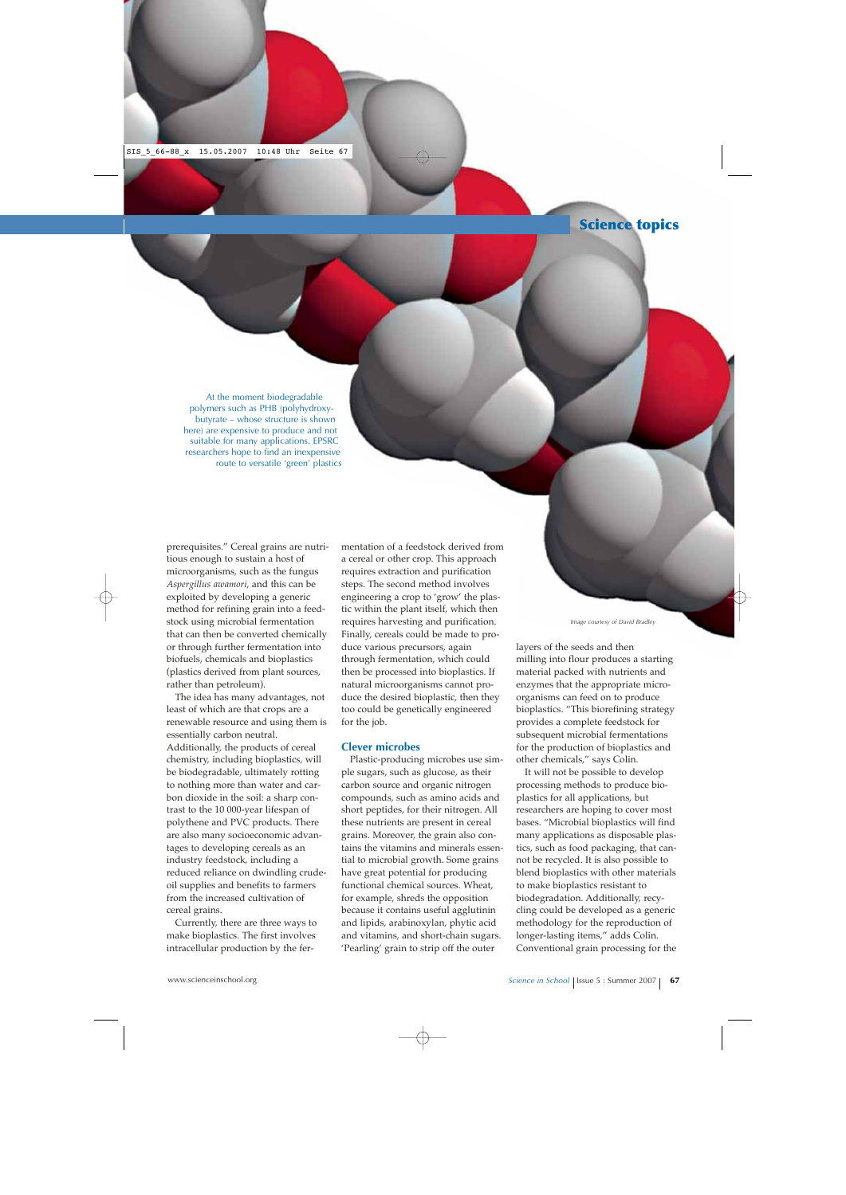At the moment biodegradable polymers such as PHB (polyhydroxybutyrate – whose structure is shown here) are expensive to produce and not suitable for many applications. EPSRC researchers hope to find an inexpensive route to versatile 'green' plastics

prerequisites." Cereal grains are nutritious enough to sustain a host of microorganisms, such as the fungus *Aspergillus awamori*, and this can be exploited by developing a generic method for refining grain into a feedstock using microbial fermentation that can then be converted chemically or through further fermentation into biofuels, chemicals and bioplastics (plastics derived from plant sources, rather than petroleum).

The idea has many advantages, not least of which are that crops are a renewable resource and using them is essentially carbon neutral. Additionally, the products of cereal chemistry, including bioplastics, will be biodegradable, ultimately rotting to nothing more than water and carbon dioxide in the soil: a sharp contrast to the 10 000-year lifespan of polythene and PVC products. There are also many socioeconomic advantages to developing cereals as an industry feedstock, including a reduced reliance on dwindling crudeoil supplies and benefits to farmers from the increased cultivation of cereal grains.

Currently, there are three ways to make bioplastics. The first involves intracellular production by the fer-

mentation of a feedstock derived from a cereal or other crop. This approach requires extraction and purification steps. The second method involves engineering a crop to 'grow' the plastic within the plant itself, which then requires harvesting and purification. Finally, cereals could be made to produce various precursors, again through fermentation, which could then be processed into bioplastics. If natural microorganisms cannot produce the desired bioplastic, then they too could be genetically engineered for the job.

## **Clever microbes**

Plastic-producing microbes use simple sugars, such as glucose, as their carbon source and organic nitrogen compounds, such as amino acids and short peptides, for their nitrogen. All these nutrients are present in cereal grains. Moreover, the grain also contains the vitamins and minerals essential to microbial growth. Some grains have great potential for producing functional chemical sources. Wheat, for example, shreds the opposition because it contains useful agglutinin and lipids, arabinoxylan, phytic acid and vitamins, and short-chain sugars. 'Pearling' grain to strip off the outer

*Image courtesy of David Bradley*

layers of the seeds and then milling into flour produces a starting material packed with nutrients and enzymes that the appropriate microorganisms can feed on to produce bioplastics. "This biorefining strategy provides a complete feedstock for subsequent microbial fermentations for the production of bioplastics and other chemicals," says Colin.

It will not be possible to develop processing methods to produce bioplastics for all applications, but researchers are hoping to cover most bases. "Microbial bioplastics will find many applications as disposable plastics, such as food packaging, that cannot be recycled. It is also possible to blend bioplastics with other materials to make bioplastics resistant to biodegradation. Additionally, recycling could be developed as a generic methodology for the reproduction of longer-lasting items," adds Colin. Conventional grain processing for the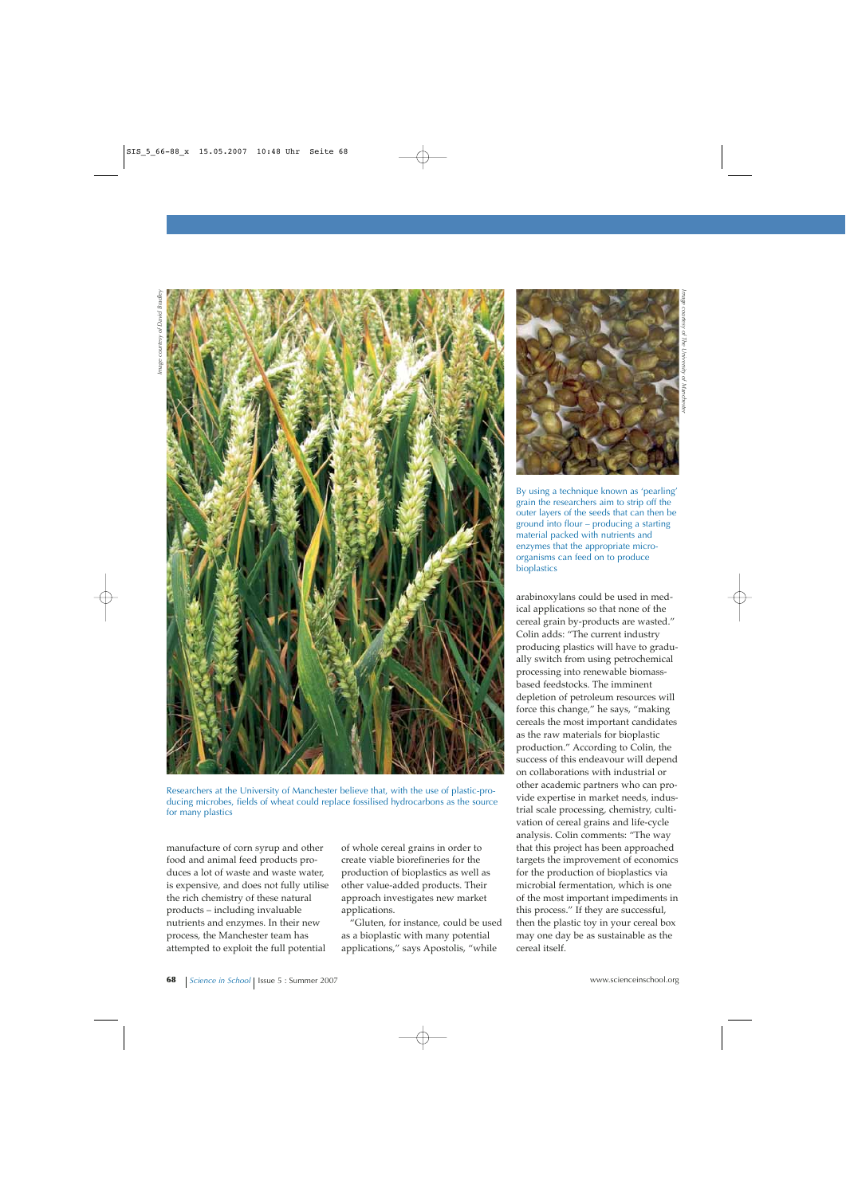

Researchers at the University of Manchester believe that, with the use of plastic-producing microbes, fields of wheat could replace fossilised hydrocarbons as the source for many plastics

manufacture of corn syrup and other food and animal feed products produces a lot of waste and waste water, is expensive, and does not fully utilise the rich chemistry of these natural products – including invaluable nutrients and enzymes. In their new process, the Manchester team has attempted to exploit the full potential

of whole cereal grains in order to create viable biorefineries for the production of bioplastics as well as other value-added products. Their approach investigates new market applications.

"Gluten, for instance, could be used as a bioplastic with many potential applications," says Apostolis, "while



h I

By using a technique known as 'pearling' grain the researchers aim to strip off the outer layers of the seeds that can then be ground into flour – producing a starting material packed with nutrients and enzymes that the appropriate microorganisms can feed on to produce bioplastics

arabinoxylans could be used in medical applications so that none of the cereal grain by-products are wasted." Colin adds: "The current industry producing plastics will have to gradually switch from using petrochemical processing into renewable biomassbased feedstocks. The imminent depletion of petroleum resources will force this change," he says, "making cereals the most important candidates as the raw materials for bioplastic production." According to Colin, the success of this endeavour will depend on collaborations with industrial or other academic partners who can provide expertise in market needs, industrial scale processing, chemistry, cultivation of cereal grains and life-cycle analysis. Colin comments: "The way that this project has been approached targets the improvement of economics for the production of bioplastics via microbial fermentation, which is one of the most important impediments in this process." If they are successful, then the plastic toy in your cereal box may one day be as sustainable as the cereal itself.